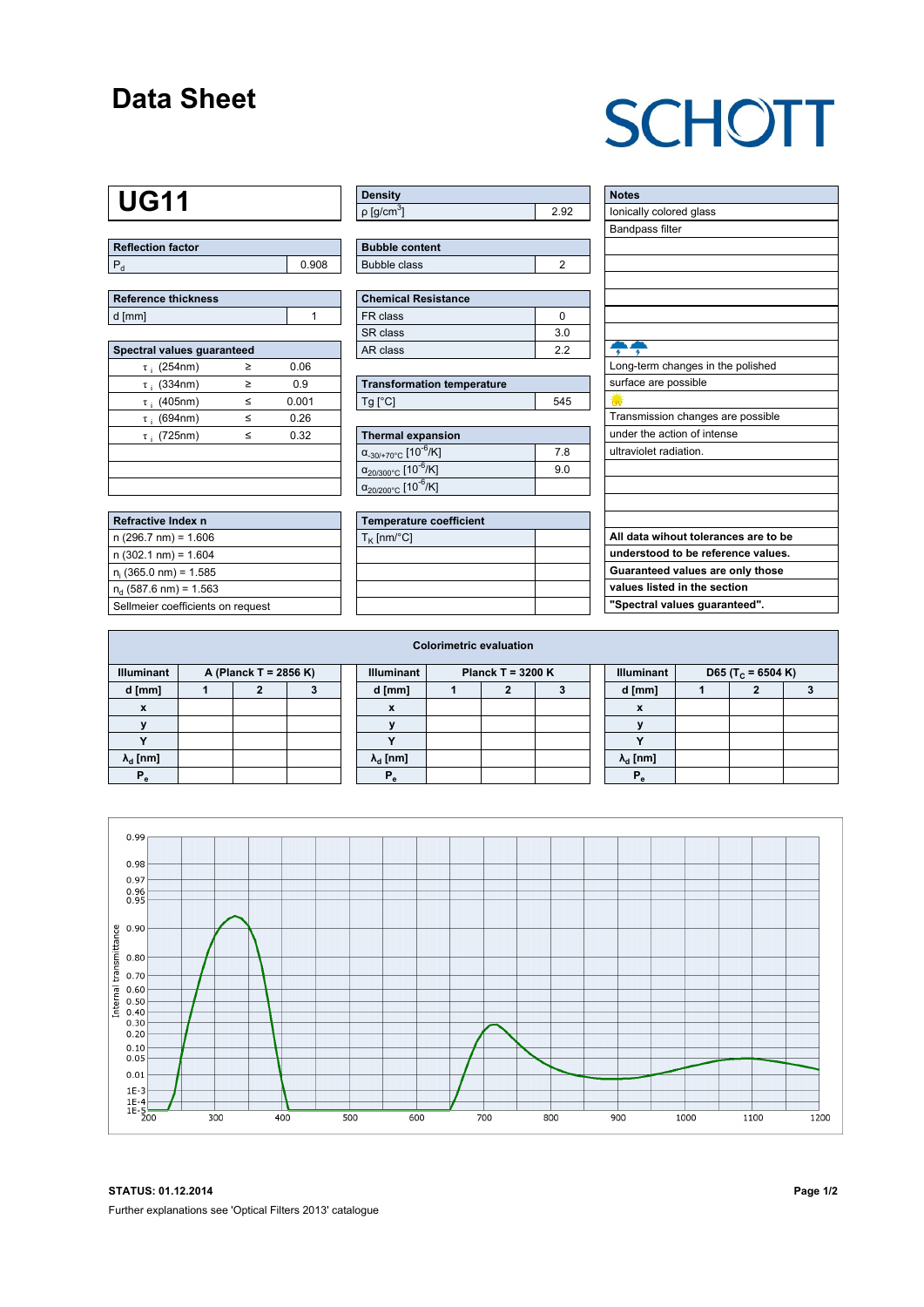## **Data Sheet**

## **SCHOTT**

## **UG11**

| Reflection factor |       |  |  |  |  |  |
|-------------------|-------|--|--|--|--|--|
|                   | 0.908 |  |  |  |  |  |

| Reference thickness |  |
|---------------------|--|
| d [mm]              |  |

| Spectral values quaranteed |   |       |  |  |  |  |  |  |  |
|----------------------------|---|-------|--|--|--|--|--|--|--|
| $\tau$ ; (254nm)           | ≥ | 0.06  |  |  |  |  |  |  |  |
| $\tau$ ; (334nm)           | ≥ | 0.9   |  |  |  |  |  |  |  |
| $\tau$ ; (405nm)           | < | 0.001 |  |  |  |  |  |  |  |
| $\tau$ ; (694nm)           | ≤ | 0.26  |  |  |  |  |  |  |  |
| $\tau$ ; (725nm)           | < | 0.32  |  |  |  |  |  |  |  |
|                            |   |       |  |  |  |  |  |  |  |
|                            |   |       |  |  |  |  |  |  |  |
|                            |   |       |  |  |  |  |  |  |  |

| Refractive Index n                |
|-----------------------------------|
| $n(296.7 \text{ nm}) = 1.606$     |
| $n(302.1 \text{ nm}) = 1.604$     |
| $n_i$ (365.0 nm) = 1.585          |
| $n_{d}$ (587.6 nm) = 1.563        |
| Sellmeier coefficients on request |

| <b>Density</b>              |      |
|-----------------------------|------|
| $\rho$ [g/cm <sup>3</sup> ] | 2 Q2 |

| <b>Bubble content</b> |  |
|-----------------------|--|
| Bubble class          |  |

| Chemical Resistance |                |  |  |  |  |  |  |  |
|---------------------|----------------|--|--|--|--|--|--|--|
| FR class            |                |  |  |  |  |  |  |  |
| l SR class          | 3 <sub>0</sub> |  |  |  |  |  |  |  |
| l AR class          | 22             |  |  |  |  |  |  |  |

| <b>Transformation temperature</b> |     |
|-----------------------------------|-----|
| $Tg$ [ $^{\circ}$ C]              | 545 |

i<br>L

| Thermal expansion                                 |    |
|---------------------------------------------------|----|
| $\alpha_{.30/+70\degree}$ c [10 <sup>-6</sup> /K] | 78 |
| $\alpha_{20/300^{\circ}C}$ [10 <sup>-6</sup> /K]  | 90 |
| $\alpha_{20/200^{\circ}C}$ [10 <sup>-6</sup> /K]  |    |

| <b>Temperature coefficient</b> |  |
|--------------------------------|--|
| $T_K$ [nm/°C]                  |  |
|                                |  |
|                                |  |
|                                |  |
|                                |  |

| <b>Notes</b>                         |
|--------------------------------------|
| lonically colored glass              |
| <b>Bandpass filter</b>               |
|                                      |
|                                      |
|                                      |
|                                      |
|                                      |
|                                      |
|                                      |
| Long-term changes in the polished    |
| surface are possible                 |
|                                      |
| Transmission changes are possible    |
| under the action of intense          |
| ultraviolet radiation.               |
|                                      |
|                                      |
|                                      |
|                                      |
| All data wihout tolerances are to be |
| understood to be reference values.   |
| Guaranteed values are only those     |
| values listed in the section         |
| "Spectral values guaranteed".        |

| <b>Colorimetric evaluation</b>             |  |  |  |                                          |                        |  |  |                                                    |  |                        |  |  |  |
|--------------------------------------------|--|--|--|------------------------------------------|------------------------|--|--|----------------------------------------------------|--|------------------------|--|--|--|
| <b>Illuminant</b><br>A (Planck T = 2856 K) |  |  |  | <b>Illuminant</b><br>Planck T = $3200 K$ |                        |  |  | <b>Illuminant</b><br>D65 (T <sub>c</sub> = 6504 K) |  |                        |  |  |  |
| d [mm]                                     |  |  |  |                                          | d [mm]                 |  |  |                                                    |  | d [mm]                 |  |  |  |
| X                                          |  |  |  |                                          | X                      |  |  |                                                    |  | $\boldsymbol{x}$       |  |  |  |
|                                            |  |  |  |                                          |                        |  |  |                                                    |  |                        |  |  |  |
|                                            |  |  |  |                                          |                        |  |  |                                                    |  |                        |  |  |  |
| $\lambda_{d}$ [nm]                         |  |  |  |                                          | $\lambda_{\rm d}$ [nm] |  |  |                                                    |  | $\lambda_{\rm d}$ [nm] |  |  |  |
| $P_e$                                      |  |  |  |                                          | $P_e$                  |  |  |                                                    |  | $P_e$                  |  |  |  |
|                                            |  |  |  |                                          |                        |  |  |                                                    |  |                        |  |  |  |